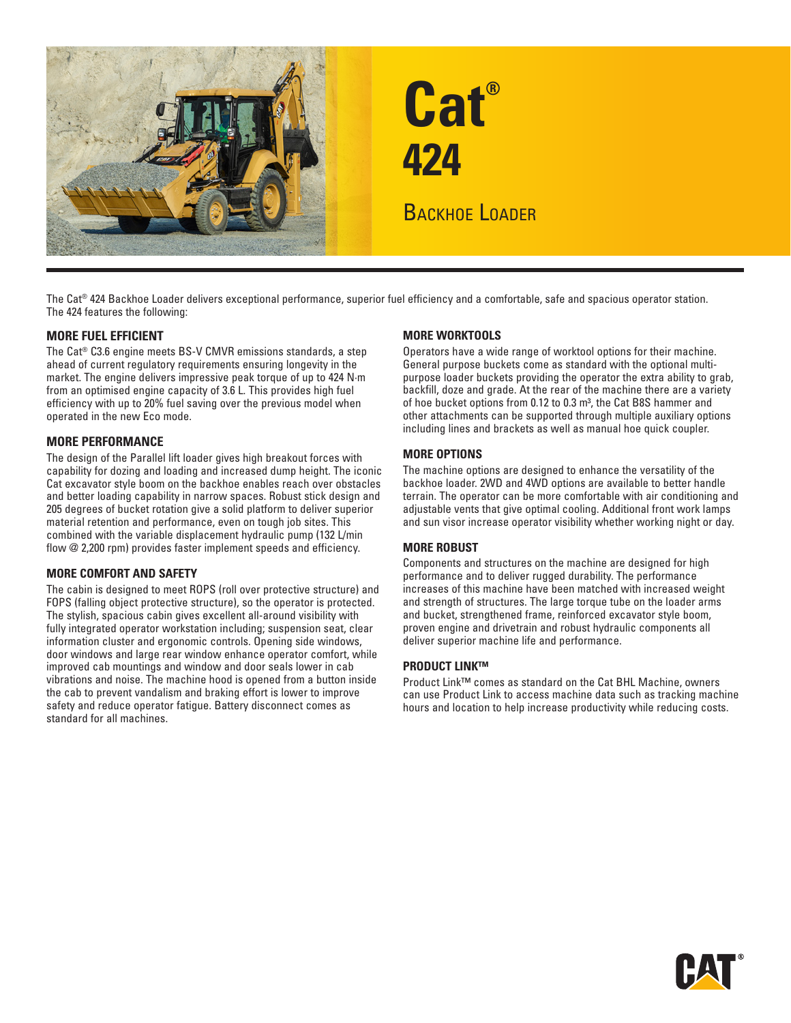

The Cat® 424 Backhoe Loader delivers exceptional performance, superior fuel efficiency and a comfortable, safe and spacious operator station. The 424 features the following:

#### **MORE FUEL EFFICIENT**

The Cat® C3.6 engine meets BS-V CMVR emissions standards, a step ahead of current regulatory requirements ensuring longevity in the market. The engine delivers impressive peak torque of up to 424 N·m from an optimised engine capacity of 3.6 L. This provides high fuel efficiency with up to 20% fuel saving over the previous model when operated in the new Eco mode.

#### **MORE PERFORMANCE**

The design of the Parallel lift loader gives high breakout forces with capability for dozing and loading and increased dump height. The iconic Cat excavator style boom on the backhoe enables reach over obstacles and better loading capability in narrow spaces. Robust stick design and 205 degrees of bucket rotation give a solid platform to deliver superior material retention and performance, even on tough job sites. This combined with the variable displacement hydraulic pump (132 L/min flow @ 2,200 rpm) provides faster implement speeds and efficiency.

#### **MORE COMFORT AND SAFETY**

The cabin is designed to meet ROPS (roll over protective structure) and FOPS (falling object protective structure), so the operator is protected. The stylish, spacious cabin gives excellent all-around visibility with fully integrated operator workstation including; suspension seat, clear information cluster and ergonomic controls. Opening side windows, door windows and large rear window enhance operator comfort, while improved cab mountings and window and door seals lower in cab vibrations and noise. The machine hood is opened from a button inside the cab to prevent vandalism and braking effort is lower to improve safety and reduce operator fatigue. Battery disconnect comes as standard for all machines.

#### **MORE WORKTOOLS**

Operators have a wide range of worktool options for their machine. General purpose buckets come as standard with the optional multipurpose loader buckets providing the operator the extra ability to grab, backfill, doze and grade. At the rear of the machine there are a variety of hoe bucket options from 0.12 to 0.3 m<sup>3</sup>, the Cat B8S hammer and other attachments can be supported through multiple auxiliary options including lines and brackets as well as manual hoe quick coupler.

#### **MORE OPTIONS**

The machine options are designed to enhance the versatility of the backhoe loader. 2WD and 4WD options are available to better handle terrain. The operator can be more comfortable with air conditioning and adjustable vents that give optimal cooling. Additional front work lamps and sun visor increase operator visibility whether working night or day.

#### **MORE ROBUST**

Components and structures on the machine are designed for high performance and to deliver rugged durability. The performance increases of this machine have been matched with increased weight and strength of structures. The large torque tube on the loader arms and bucket, strengthened frame, reinforced excavator style boom, proven engine and drivetrain and robust hydraulic components all deliver superior machine life and performance.

#### **PRODUCT LINK™**

Product Link™ comes as standard on the Cat BHL Machine, owners can use Product Link to access machine data such as tracking machine hours and location to help increase productivity while reducing costs.

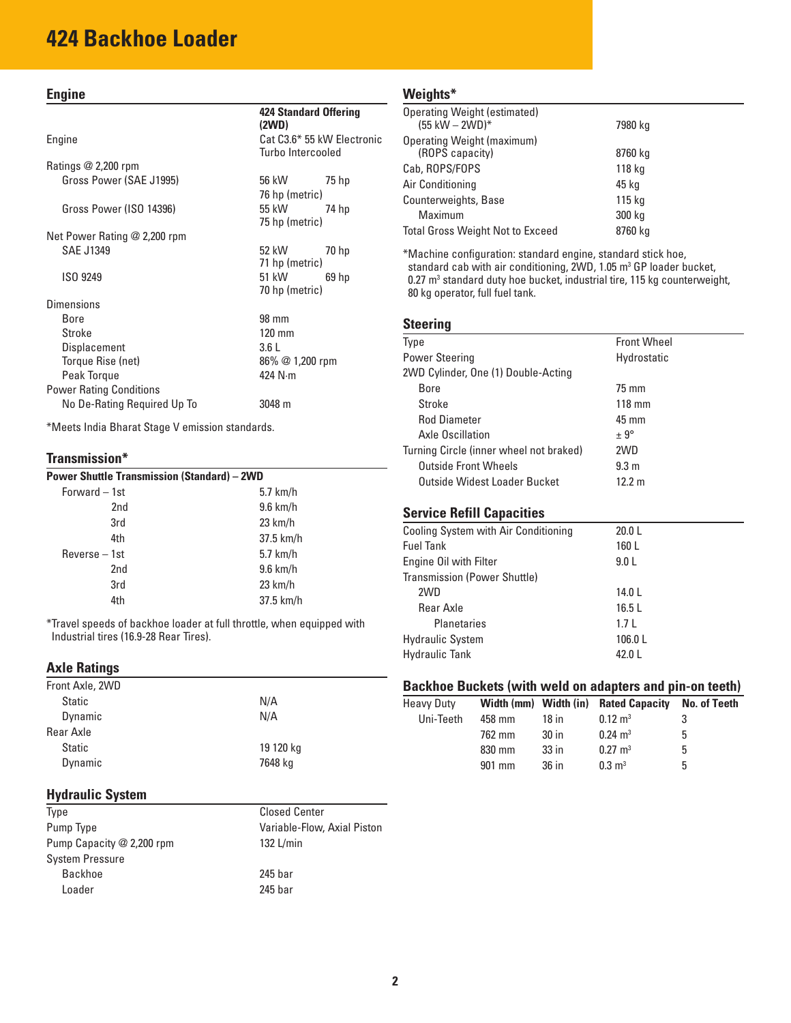# **424 Backhoe Loader**

#### **Engine**

#### Engine Cat C3.6\* 55 kW Electronic

Ratings @ 2,200 rpm Gross Power (SAE J1995) 56 kW 75 hp Gross Power (ISO 14396) 55 kW 74 hp

Net Power Rating @ 2,200 rpm SAE J1349 52 kW 70 hp

|                                | 71 hp (metric)           |  |
|--------------------------------|--------------------------|--|
| ISO 9249                       | 51 kW<br>69 <sub>h</sub> |  |
|                                | 70 hp (metric)           |  |
| Dimensions                     |                          |  |
| Bore                           | 98 mm                    |  |
| Stroke                         | $120 \text{ mm}$         |  |
| Displacement                   | 3.6L                     |  |
| Torque Rise (net)              | 86% @ 1,200 rpm          |  |
| Peak Torque                    | 424 N·m                  |  |
| <b>Power Rating Conditions</b> |                          |  |
| No De-Rating Required Up To    | 3048 m                   |  |

\*Meets India Bharat Stage V emission standards.

#### **Transmission\***

# **Power Shuttle Transmission (Standard) – 2WD**

| Forward - 1st   | $5.7$ km/h        |
|-----------------|-------------------|
| 2nd             | $9.6$ km/h        |
| 3rd             | $23 \text{ km/h}$ |
| 4th             | 37.5 km/h         |
| Reverse - 1st   | $5.7$ km/h        |
| 2 <sub>nd</sub> | $9.6$ km/h        |
| 3rd             | $23$ km/h         |
| 4th             | 37.5 km/h         |

\*Travel speeds of backhoe loader at full throttle, when equipped with Industrial tires (16.9-28 Rear Tires).

#### **Axle Ratings**

| Front Axle, 2WD |           |
|-----------------|-----------|
| <b>Static</b>   | N/A       |
| Dynamic         | N/A       |
| Rear Axle       |           |
| <b>Static</b>   | 19 120 kg |
| Dynamic         | 7648 kg   |

### **Hydraulic System**

| Type                      | <b>Closed Center</b>        |
|---------------------------|-----------------------------|
| Pump Type                 | Variable-Flow, Axial Piston |
| Pump Capacity @ 2,200 rpm | 132 $L/min$                 |
| <b>System Pressure</b>    |                             |
| Backhoe                   | 245 bar                     |
| Loader                    | 245 bar                     |

### **Weights\***

**424 Standard Offering** 

Turbo Intercooled

76 hp (metric)

75 hp (metric)

**(2WD)**

| <b>Operating Weight (estimated)</b><br>$(55 \text{ kW} - 2 \text{WD})^*$ | 7980 kg |
|--------------------------------------------------------------------------|---------|
| Operating Weight (maximum)                                               |         |
| (ROPS capacity)                                                          | 8760 kg |
| Cab, ROPS/FOPS                                                           | 118 kg  |
| Air Conditioning                                                         | 45 kg   |
| Counterweights, Base                                                     | 115 kg  |
| Maximum                                                                  | 300 kg  |
| Total Gross Weight Not to Exceed                                         | 8760 kg |

\*Machine configuration: standard engine, standard stick hoe, standard cab with air conditioning, 2WD, 1.05 m<sup>3</sup> GP loader bucket,  $0.27$  m<sup>3</sup> standard duty hoe bucket, industrial tire, 115 kg counterweight, 80 kg operator, full fuel tank.

#### **Steering**

| <b>Type</b>                             | <b>Front Wheel</b> |
|-----------------------------------------|--------------------|
| <b>Power Steering</b>                   | Hydrostatic        |
| 2WD Cylinder, One (1) Double-Acting     |                    |
| Bore                                    | 75 mm              |
| Stroke                                  | $118 \text{ mm}$   |
| <b>Rod Diameter</b>                     | $45 \text{ mm}$    |
| Axle Oscillation                        | $± 9^{\circ}$      |
| Turning Circle (inner wheel not braked) | 2WD                |
| Outside Front Wheels                    | 9.3 m              |
| Outside Widest Loader Bucket            | 12.2 m             |
|                                         |                    |
|                                         |                    |

#### **Service Refill Capacities**

| Cooling System with Air Conditioning | 20.0L  |  |
|--------------------------------------|--------|--|
| <b>Fuel Tank</b>                     | 160L   |  |
| Engine Oil with Filter               | 9.0 L  |  |
| <b>Transmission (Power Shuttle)</b>  |        |  |
| 2WD                                  | 14.0 L |  |
| Rear Axle                            | 16.5L  |  |
| <b>Planetaries</b>                   | 1.7L   |  |
| <b>Hydraulic System</b>              | 106.0L |  |
| <b>Hydraulic Tank</b>                | 42.0 L |  |

### **Backhoe Buckets (with weld on adapters and pin-on teeth)**

| <b>Heavy Duty</b> |        |                  | Width (mm) Width (in) Rated Capacity | No. of Teeth |
|-------------------|--------|------------------|--------------------------------------|--------------|
| Uni-Teeth         | 458 mm | 18 in            | $0.12 \text{ m}^3$                   | 3            |
|                   | 762 mm | 30 <sub>in</sub> | $0.24 \text{ m}^3$                   | 5            |
|                   | 830 mm | $33$ in          | $0.27 \text{ m}^3$                   | 5            |
|                   | 901 mm | 36 in            | $0.3 \text{ m}^3$                    | 5            |
|                   |        |                  |                                      |              |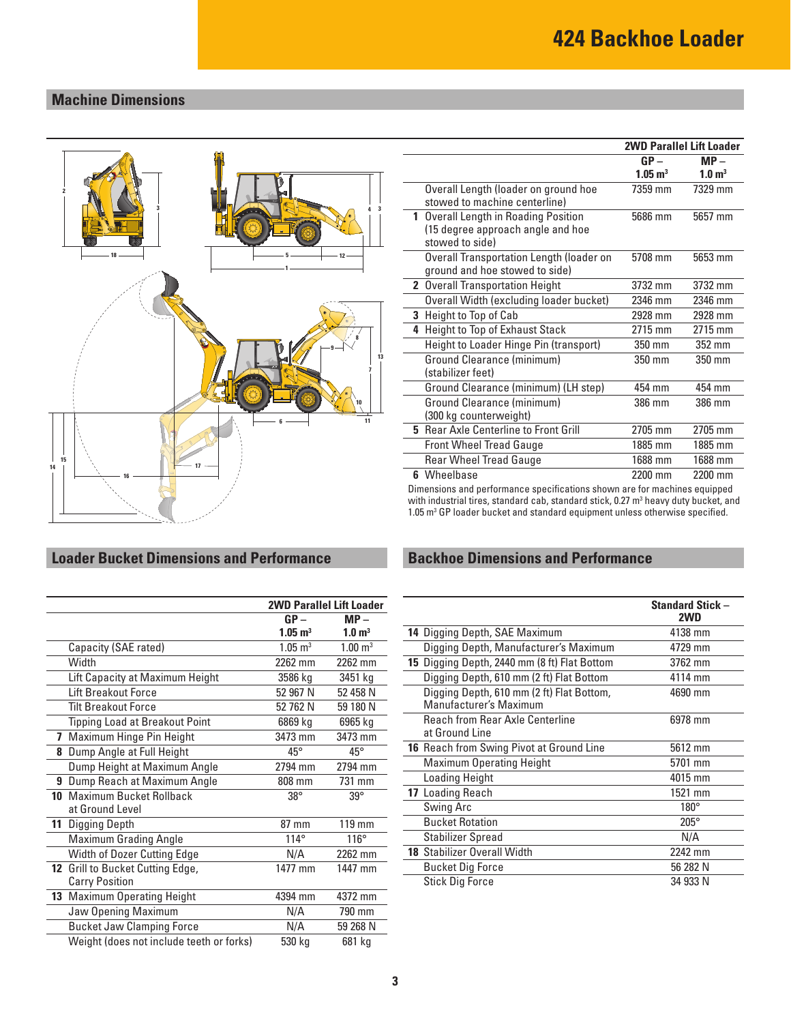## **Machine Dimensions**



## **Loader Bucket Dimensions and Performance**

|    |                                          | <b>2WD Parallel Lift Loader</b> |                    |
|----|------------------------------------------|---------------------------------|--------------------|
|    |                                          | $GP -$<br>$MP -$                |                    |
|    |                                          | $1.05 \; \mathrm{m}^3$          | $1.0 \text{ m}^3$  |
|    | Capacity (SAE rated)                     | $1.05 \; \mathrm{m}^3$          | $1.00 \text{ m}^3$ |
|    | Width                                    | 2262 mm                         | 2262 mm            |
|    | Lift Capacity at Maximum Height          | 3586 kg                         | 3451 kg            |
|    | Lift Breakout Force                      | 52 967 N                        | 52 458 N           |
|    | <b>Tilt Breakout Force</b>               | 52 762 N                        | 59 180 N           |
|    | <b>Tipping Load at Breakout Point</b>    | 6869 kg                         | 6965 kg            |
| 7  | Maximum Hinge Pin Height                 | 3473 mm                         | 3473 mm            |
| 8  | Dump Angle at Full Height                | $45^{\circ}$                    | $45^{\circ}$       |
|    | Dump Height at Maximum Angle             | 2794 mm                         | 2794 mm            |
| 9  | Dump Reach at Maximum Angle              | 808 mm                          | 731 mm             |
| 10 | Maximum Bucket Rollback                  | $38^\circ$                      | $39^\circ$         |
|    | at Ground Level                          |                                 |                    |
| 11 | Digging Depth                            | 87 mm                           | 119 mm             |
|    | <b>Maximum Grading Angle</b>             | $114^\circ$                     | $116^\circ$        |
|    | Width of Dozer Cutting Edge              | N/A                             | 2262 mm            |
|    | 12 Grill to Bucket Cutting Edge,         | 1477 mm                         | 1447 mm            |
|    | <b>Carry Position</b>                    |                                 |                    |
|    | 13 Maximum Operating Height              | 4394 mm                         | 4372 mm            |
|    | Jaw Opening Maximum                      | N/A                             | 790 mm             |
|    | <b>Bucket Jaw Clamping Force</b>         | N/A                             | 59 268 N           |
|    | Weight (does not include teeth or forks) | 530 kg                          | 681 kg             |

|                                                                                              | <b>2WD Parallel Lift Loader</b> |                   |
|----------------------------------------------------------------------------------------------|---------------------------------|-------------------|
|                                                                                              | $GP -$<br>$MP -$                |                   |
|                                                                                              | $1.05 \text{ m}^3$              | $1.0 \text{ m}^3$ |
| Overall Length (loader on ground hoe<br>stowed to machine centerline)                        | 7359 mm                         | 7329 mm           |
| 1 Overall Length in Roading Position<br>(15 degree approach angle and hoe<br>stowed to side) | 5686 mm                         | 5657 mm           |
| Overall Transportation Length (loader on<br>ground and hoe stowed to side)                   | 5708 mm                         | 5653 mm           |
| 2 Overall Transportation Height                                                              | 3732 mm                         | 3732 mm           |
| Overall Width (excluding loader bucket)                                                      | 2346 mm                         | 2346 mm           |
| 3 Height to Top of Cab                                                                       | 2928 mm                         | 2928 mm           |
| 4 Height to Top of Exhaust Stack                                                             | 2715 mm                         | 2715 mm           |
| Height to Loader Hinge Pin (transport)                                                       | 350 mm                          | $352$ mm          |
| Ground Clearance (minimum)<br>(stabilizer feet)                                              | 350 mm                          | 350 mm            |
| Ground Clearance (minimum) (LH step)                                                         | 454 mm                          | 454 mm            |
| Ground Clearance (minimum)<br>(300 kg counterweight)                                         | 386 mm                          | 386 mm            |
| <b>5</b> Rear Axle Centerline to Front Grill                                                 | 2705 mm                         | 2705 mm           |
| <b>Front Wheel Tread Gauge</b>                                                               | 1885 mm                         | 1885 mm           |
| <b>Rear Wheel Tread Gauge</b>                                                                | 1688 mm                         | 1688 mm           |
| 6 Wheelbase                                                                                  | 2200 mm                         | 2200 mm           |

Dimensions and performance specifications shown are for machines equipped with industrial tires, standard cab, standard stick, 0.27 m<sup>3</sup> heavy duty bucket, and 1.05 m<sup>3</sup> GP loader bucket and standard equipment unless otherwise specified.

## **Backhoe Dimensions and Performance**

|                                                                     | <b>Standard Stick -</b><br>2WD |
|---------------------------------------------------------------------|--------------------------------|
| 14 Digging Depth, SAE Maximum                                       | 4138 mm                        |
| Digging Depth, Manufacturer's Maximum                               | 4729 mm                        |
| 15 Digging Depth, 2440 mm (8 ft) Flat Bottom                        | 3762 mm                        |
| Digging Depth, 610 mm (2 ft) Flat Bottom                            | 4114 mm                        |
| Digging Depth, 610 mm (2 ft) Flat Bottom,<br>Manufacturer's Maximum | 4690 mm                        |
| Reach from Rear Axle Centerline                                     | 6978 mm                        |
| at Ground Line                                                      |                                |
| <b>16</b> Reach from Swing Pivot at Ground Line                     | 5612 mm                        |
| <b>Maximum Operating Height</b>                                     | 5701 mm                        |
| Loading Height                                                      | 4015 mm                        |
| 17 Loading Reach                                                    | 1521 mm                        |
| Swing Arc                                                           | $180^\circ$                    |
| <b>Bucket Rotation</b>                                              | $205^\circ$                    |
| Stabilizer Spread                                                   | N/A                            |
| <b>18 Stabilizer Overall Width</b>                                  | 2242 mm                        |
| <b>Bucket Dig Force</b>                                             | 56 282 N                       |
| <b>Stick Dig Force</b>                                              | 34 933 N                       |